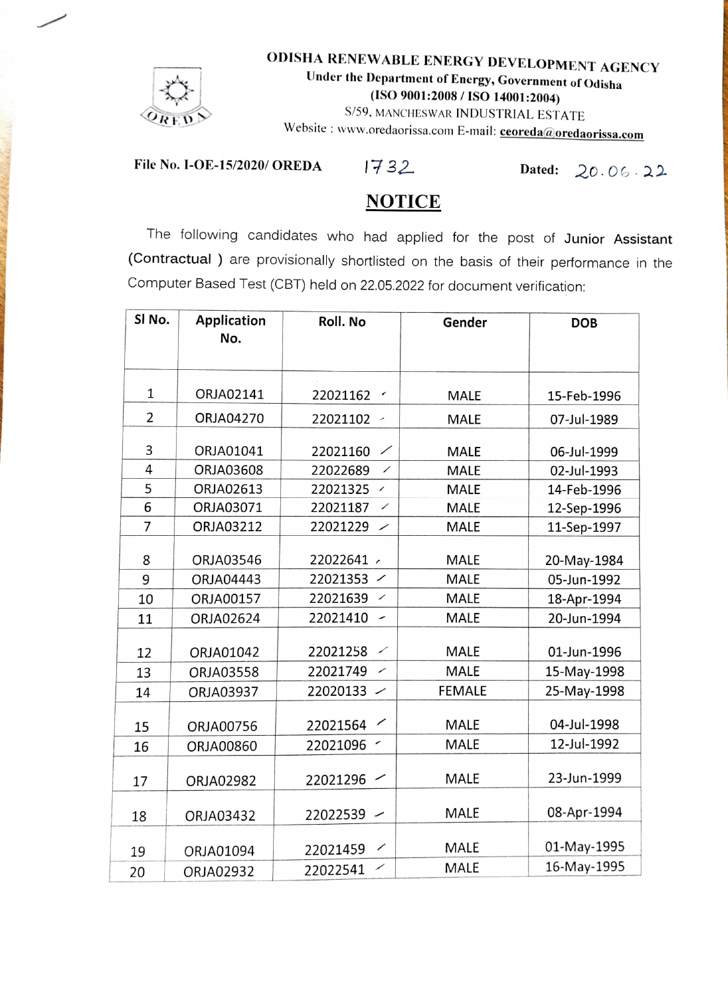

ODISHA RENEWABLE ENERGY DEVELOPMENT AGENCY Under the Department of Energy, Government of Odisha (ISO 9001:2008/ IS0 14001:2004) S/59, MANCHESWAR INDUSTRIAL ESTATE

Website: www.oredaorissa.com E-mail: **ceoreda@oredaorissa.com** 

File No. I-OE-15/2020/ OREDA  $1732$  Dated:  $20.06.22$ 

## **NOTICE**

The following candidates who had applied for the post of Junior Assistant (Contractual ) are provisionally shortlisted on the basis of their performance in the Computer Based Test (CBT) held on 22.05.2022 for document verification:

| SI No.         | <b>Application</b><br>No. | Roll. No                             | Gender        | <b>DOB</b>  |
|----------------|---------------------------|--------------------------------------|---------------|-------------|
|                |                           |                                      |               |             |
| $\mathbf{1}$   | ORJA02141                 | 22021162<br>$\epsilon$               | <b>MALE</b>   | 15-Feb-1996 |
| $\overline{2}$ | ORJA04270                 | 22021102                             | <b>MALE</b>   | 07-Jul-1989 |
| 3              | ORJA01041                 | 22021160                             | <b>MALE</b>   | 06-Jul-1999 |
| 4              | ORJA03608                 | 22022689<br>$\overline{\phantom{a}}$ | <b>MALE</b>   | 02-Jul-1993 |
| 5              | ORJA02613                 | 22021325<br>$\!\!^{\prime}$          | <b>MALE</b>   | 14-Feb-1996 |
| 6              | ORJA03071                 | 22021187<br>$\overline{\phantom{a}}$ | <b>MALE</b>   | 12-Sep-1996 |
| $\overline{7}$ | ORJA03212                 | 22021229<br>╱                        | <b>MALE</b>   | 11-Sep-1997 |
| 8              | ORJA03546                 | 22022641 /                           | <b>MALE</b>   | 20-May-1984 |
| 9              | ORJA04443                 | 22021353<br>$\overline{\phantom{a}}$ | <b>MALE</b>   | 05-Jun-1992 |
| 10             | ORJA00157                 | 22021639<br>$\!\!$ $\!\!$ $\!\!$     | <b>MALE</b>   | 18-Apr-1994 |
| 11             | ORJA02624                 | 22021410<br>╭                        | <b>MALE</b>   | 20-Jun-1994 |
| 12             | ORJA01042                 | 22021258<br>╱                        | <b>MALE</b>   | 01-Jun-1996 |
| 13             | ORJA03558                 | 22021749<br>╱                        | <b>MALE</b>   | 15-May-1998 |
| 14             | ORJA03937                 | 22020133<br>╱                        | <b>FEMALE</b> | 25-May-1998 |
| 15             | ORJA00756                 | 22021564                             | <b>MALE</b>   | 04-Jul-1998 |
| 16             | ORJA00860                 | ╭<br>22021096                        | <b>MALE</b>   | 12-Jul-1992 |
| 17             | ORJA02982                 | 22021296                             | <b>MALE</b>   | 23-Jun-1999 |
| 18             | ORJA03432                 | 22022539<br>$\overline{\phantom{0}}$ | MALE          | 08-Apr-1994 |
| 19             | ORJA01094                 | ╱<br>22021459                        | MALE          | 01-May-1995 |
| 20             | ORJA02932                 | ╱<br>22022541                        | MALE          | 16-May-1995 |